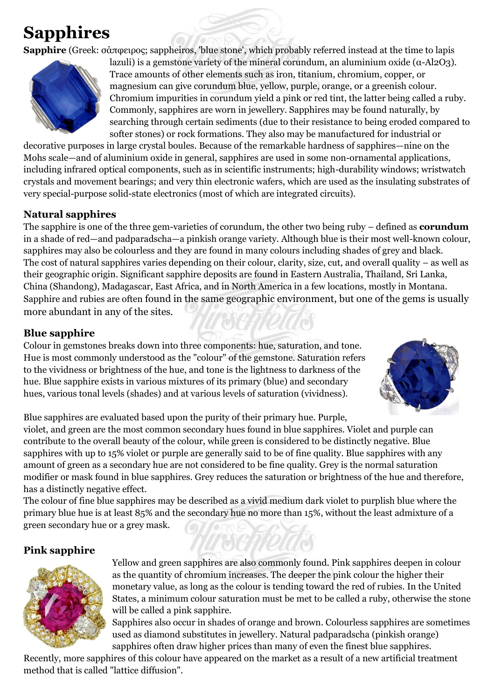# **Sapphires**

**Sapphire** (Greek: σάπφειρος; sappheiros, 'blue stone', which probably referred instead at the time to lapis



lazuli) is a gemstone variety of the mineral corundum, an aluminium oxide (α-Al2O3). Trace amounts of other elements such as iron, titanium, chromium, copper, or magnesium can give corundum blue, yellow, purple, orange, or a greenish colour. Chromium impurities in corundum yield a pink or red tint, the latter being called a ruby. Commonly, sapphires are worn in jewellery. Sapphires may be found naturally, by searching through certain sediments (due to their resistance to being eroded compared to softer stones) or rock formations. They also may be manufactured for industrial or

decorative purposes in large crystal boules. Because of the remarkable hardness of sapphires—nine on the Mohs scale—and of aluminium oxide in general, sapphires are used in some non-ornamental applications, including infrared optical components, such as in scientific instruments; high-durability windows; wristwatch crystals and movement bearings; and very thin electronic wafers, which are used as the insulating substrates of very special-purpose solid-state electronics (most of which are integrated circuits).

## **Natural sapphires**

The sapphire is one of the three gem-varieties of corundum, the other two being ruby – defined as **corundum** in a shade of red—and padparadscha—a pinkish orange variety. Although blue is their most well-known colour, sapphires may also be colourless and they are found in many colours including shades of grey and black. The cost of natural sapphires varies depending on their colour, clarity, size, cut, and overall quality – as well as their geographic origin. Significant sapphire deposits are found in Eastern Australia, Thailand, Sri Lanka, China (Shandong), Madagascar, East Africa, and in North America in a few locations, mostly in Montana. Sapphire and rubies are often found in the same geographic environment, but one of the gems is usually more abundant in any of the sites.

# **Blue sapphire**

Colour in gemstones breaks down into three components: hue, saturation, and tone. Hue is most commonly understood as the "colour" of the gemstone. Saturation refers to the vividness or brightness of the hue, and tone is the lightness to darkness of the hue. Blue sapphire exists in various mixtures of its primary (blue) and secondary hues, various tonal levels (shades) and at various levels of saturation (vividness).



Blue sapphires are evaluated based upon the purity of their primary hue. Purple, violet, and green are the most common secondary hues found in blue sapphires. Violet and purple can contribute to the overall beauty of the colour, while green is considered to be distinctly negative. Blue sapphires with up to 15% violet or purple are generally said to be of fine quality. Blue sapphires with any amount of green as a secondary hue are not considered to be fine quality. Grey is the normal saturation modifier or mask found in blue sapphires. Grey reduces the saturation or brightness of the hue and therefore, has a distinctly negative effect.

The colour of fine blue sapphires may be described as a vivid medium dark violet to purplish blue where the primary blue hue is at least 85% and the secondary hue no more than 15%, without the least admixture of a green secondary hue or a grey mask.

# **Pink sapphire**



Yellow and green sapphires are also commonly found. Pink sapphires deepen in colour as the quantity of chromium increases. The deeper the pink colour the higher their monetary value, as long as the colour is tending toward the red of rubies. In the United States, a minimum colour saturation must be met to be called a ruby, otherwise the stone will be called a pink sapphire.

Sapphires also occur in shades of orange and brown. Colourless sapphires are sometimes used as diamond substitutes in jewellery. Natural padparadscha (pinkish orange) sapphires often draw higher prices than many of even the finest blue sapphires.

Recently, more sapphires of this colour have appeared on the market as a result of a new artificial treatment method that is called "lattice diffusion".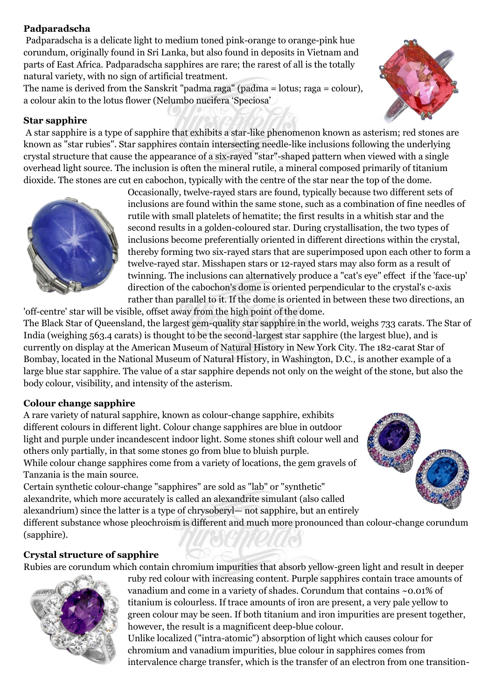## **Padparadscha**

Padparadscha is a delicate light to medium toned pink-orange to orange-pink hue corundum, originally found in Sri Lanka, but also found in deposits in Vietnam and parts of East Africa. Padparadscha sapphires are rare; the rarest of all is the totally natural variety, with no sign of artificial treatment.

The name is derived from the Sanskrit "padma raga" (padma = lotus; raga = colour), a colour akin to the lotus flower (Nelumbo nucifera 'Speciosa'

### **Star sapphire**

A star sapphire is a type of sapphire that exhibits a star-like phenomenon known as asterism; red stones are known as "star rubies". Star sapphires contain intersecting needle-like inclusions following the underlying crystal structure that cause the appearance of a six-rayed "star"-shaped pattern when viewed with a single overhead light source. The inclusion is often the mineral rutile, a mineral composed primarily of titanium dioxide. The stones are cut en cabochon, typically with the centre of the star near the top of the dome.



Occasionally, twelve-rayed stars are found, typically because two different sets of inclusions are found within the same stone, such as a combination of fine needles of rutile with small platelets of hematite; the first results in a whitish star and the second results in a golden-coloured star. During crystallisation, the two types of inclusions become preferentially oriented in different directions within the crystal, thereby forming two six-rayed stars that are superimposed upon each other to form a twelve-rayed star. Misshapen stars or 12-rayed stars may also form as a result of twinning. The inclusions can alternatively produce a "cat's eye" effect if the 'face-up' direction of the cabochon's dome is oriented perpendicular to the crystal's c-axis rather than parallel to it. If the dome is oriented in between these two directions, an

'off-centre' star will be visible, offset away from the high point of the dome. The Black Star of Queensland, the largest gem-quality star sapphire in the world, weighs 733 carats. The Star of India (weighing 563.4 carats) is thought to be the second-largest star sapphire (the largest blue), and is currently on display at the American Museum of Natural History in New York City. The 182-carat Star of Bombay, located in the National Museum of Natural History, in Washington, D.C., is another example of a large blue star sapphire. The value of a star sapphire depends not only on the weight of the stone, but also the body colour, visibility, and intensity of the asterism.

#### **Colour change sapphire**

A rare variety of natural sapphire, known as colour-change sapphire, exhibits different colours in different light. Colour change sapphires are blue in outdoor light and purple under incandescent indoor light. Some stones shift colour well and others only partially, in that some stones go from blue to bluish purple. While colour change sapphires come from a variety of locations, the gem gravels of Tanzania is the main source.

Certain synthetic colour-change "sapphires" are sold as "lab" or "synthetic" alexandrite, which more accurately is called an alexandrite simulant (also called alexandrium) since the latter is a type of chrysoberyl— not sapphire, but an entirely



different substance whose pleochroism is different and much more pronounced than colour-change corundum (sapphire).

## **Crystal structure of sapphire**

Rubies are corundum which contain chromium impurities that absorb yellow-green light and result in deeper



ruby red colour with increasing content. Purple sapphires contain trace amounts of vanadium and come in a variety of shades. Corundum that contains ~0.01% of titanium is colourless. If trace amounts of iron are present, a very pale yellow to green colour may be seen. If both titanium and iron impurities are present together, however, the result is a magnificent deep-blue colour.

Unlike localized ("intra-atomic") absorption of light which causes colour for chromium and vanadium impurities, blue colour in sapphires comes from intervalence charge transfer, which is the transfer of an electron from one transition-

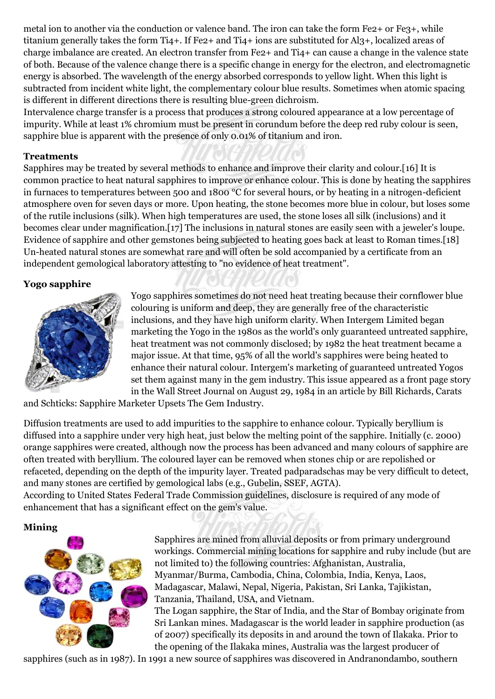metal ion to another via the conduction or valence band. The iron can take the form Fe2+ or Fe3+, while titanium generally takes the form Ti4+. If Fe2+ and Ti4+ ions are substituted for Al3+, localized areas of charge imbalance are created. An electron transfer from Fe2+ and Ti4+ can cause a change in the valence state of both. Because of the valence change there is a specific change in energy for the electron, and electromagnetic energy is absorbed. The wavelength of the energy absorbed corresponds to yellow light. When this light is subtracted from incident white light, the complementary colour blue results. Sometimes when atomic spacing is different in different directions there is resulting blue-green dichroism.

Intervalence charge transfer is a process that produces a strong coloured appearance at a low percentage of impurity. While at least 1% chromium must be present in corundum before the deep red ruby colour is seen, sapphire blue is apparent with the presence of only 0.01% of titanium and iron.

#### **Treatments**

Sapphires may be treated by several methods to enhance and improve their clarity and colour.[16] It is common practice to heat natural sapphires to improve or enhance colour. This is done by heating the sapphires in furnaces to temperatures between 500 and 1800 °C for several hours, or by heating in a nitrogen-deficient atmosphere oven for seven days or more. Upon heating, the stone becomes more blue in colour, but loses some of the rutile inclusions (silk). When high temperatures are used, the stone loses all silk (inclusions) and it becomes clear under magnification.[17] The inclusions in natural stones are easily seen with a jeweler's loupe. Evidence of sapphire and other gemstones being subjected to heating goes back at least to Roman times.[18] Un-heated natural stones are somewhat rare and will often be sold accompanied by a certificate from an independent gemological laboratory attesting to "no evidence of heat treatment".

#### **Yogo sapphire**



Yogo sapphires sometimes do not need heat treating because their cornflower blue colouring is uniform and deep, they are generally free of the characteristic inclusions, and they have high uniform clarity. When Intergem Limited began marketing the Yogo in the 1980s as the world's only guaranteed untreated sapphire, heat treatment was not commonly disclosed; by 1982 the heat treatment became a major issue. At that time, 95% of all the world's sapphires were being heated to enhance their natural colour. Intergem's marketing of guaranteed untreated Yogos set them against many in the gem industry. This issue appeared as a front page story in the Wall Street Journal on August 29, 1984 in an article by Bill Richards, Carats

and Schticks: Sapphire Marketer Upsets The Gem Industry.

Diffusion treatments are used to add impurities to the sapphire to enhance colour. Typically beryllium is diffused into a sapphire under very high heat, just below the melting point of the sapphire. Initially (c. 2000) orange sapphires were created, although now the process has been advanced and many colours of sapphire are often treated with beryllium. The coloured layer can be removed when stones chip or are repolished or refaceted, depending on the depth of the impurity layer. Treated padparadschas may be very difficult to detect, and many stones are certified by gemological labs (e.g., Gubelin, SSEF, AGTA).

According to United States Federal Trade Commission guidelines, disclosure is required of any mode of enhancement that has a significant effect on the gem's value.

#### **Mining**



Sapphires are mined from alluvial deposits or from primary underground workings. Commercial mining locations for sapphire and ruby include (but are not limited to) the following countries: Afghanistan, Australia, Myanmar/Burma, Cambodia, China, Colombia, India, Kenya, Laos, Madagascar, Malawi, Nepal, Nigeria, Pakistan, Sri Lanka, Tajikistan, Tanzania, Thailand, USA, and Vietnam.

The Logan sapphire, the Star of India, and the Star of Bombay originate from Sri Lankan mines. Madagascar is the world leader in sapphire production (as of 2007) specifically its deposits in and around the town of Ilakaka. Prior to the opening of the Ilakaka mines, Australia was the largest producer of

sapphires (such as in 1987). In 1991 a new source of sapphires was discovered in Andranondambo, southern